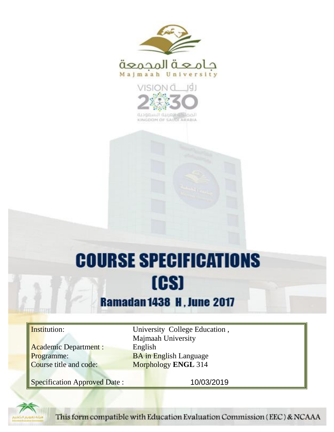



KINGDOM OF SAUDI ARABIA

# **COURSE SPECIFICATIONS** [CS]

## **Ramadan 1438 H, June 2017**

Academic Department : English

Institution: University College Education, Majmaah University **Programme:** BA in English Language<br>
Course title and code: Morphology ENGL 314 **Morphology <b>ENGL** 314

Specification Approved Date : 10/03/2019



This form compatible with Education Evaluation Commission (EEC) & NCAAA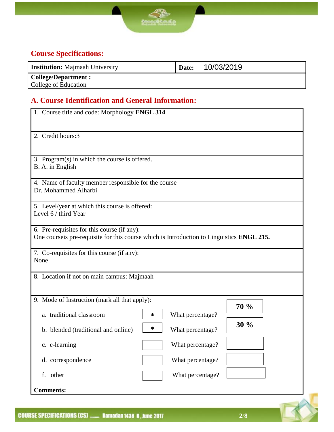

### **Course Specifications:**

| <b>Institution:</b> Majmaah University | Date: | 10/03/2019 |
|----------------------------------------|-------|------------|
| <b>College/Department :</b>            |       |            |
| College of Education                   |       |            |

#### **A. Course Identification and General Information:**

| 1. Course title and code: Morphology ENGL 314                                                                                             |   |                  |      |
|-------------------------------------------------------------------------------------------------------------------------------------------|---|------------------|------|
| 2. Credit hours:3                                                                                                                         |   |                  |      |
| 3. Program(s) in which the course is offered.<br>B. A. in English                                                                         |   |                  |      |
| 4. Name of faculty member responsible for the course<br>Dr. Mohammed Alharbi                                                              |   |                  |      |
| 5. Level/year at which this course is offered:<br>Level 6 / third Year                                                                    |   |                  |      |
| 6. Pre-requisites for this course (if any):<br>One course is pre-requisite for this course which is Introduction to Linguistics ENGL 215. |   |                  |      |
| 7. Co-requisites for this course (if any):<br>None                                                                                        |   |                  |      |
| 8. Location if not on main campus: Majmaah                                                                                                |   |                  |      |
| 9. Mode of Instruction (mark all that apply):                                                                                             |   |                  |      |
| a. traditional classroom                                                                                                                  | ∗ | What percentage? | 70 % |
| b. blended (traditional and online)                                                                                                       | ∗ | What percentage? | 30%  |
| c. e-learning                                                                                                                             |   | What percentage? |      |
| d. correspondence                                                                                                                         |   | What percentage? |      |
| f. other                                                                                                                                  |   | What percentage? |      |
| <b>Comments:</b>                                                                                                                          |   |                  |      |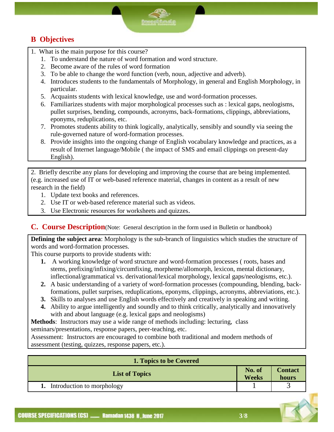#### **B Objectives**

- 1. What is the main purpose for this course?
	- 1. To understand the nature of word formation and word structure.
	- 2. Become aware of the rules of word formation
	- 3. To be able to change the word function (verb, noun, adjective and adverb).
	- 4. Introduces students to the fundamentals of Morphology, in general and English Morphology, in particular.
	- 5. Acquaints students with lexical knowledge, use and word-formation processes.
	- 6. Familiarizes students with major morphological processes such as : lexical gaps, neologisms, pullet surprises, bending, compounds, acronyms, back-formations, clippings, abbreviations, eponyms, reduplications, etc.
	- 7. Promotes students ability to think logically, analytically, sensibly and soundly via seeing the rule-governed nature of word-formation processes.
	- 8. Provide insights into the ongoing change of English vocabulary knowledge and practices, as a result of Internet language/Mobile ( the impact of SMS and email clippings on present-day English).

2. Briefly describe any plans for developing and improving the course that are being implemented. (e.g. increased use of IT or web-based reference material, changes in content as a result of new research in the field)

- 1. Update text books and references.
- 2. Use IT or web-based reference material such as videos.
- 3. Use Electronic resources for worksheets and quizzes.

**C. Course Description**(Note: General description in the form used in Bulletin or handbook)

**Defining the subject area**: Morphology is the sub-branch of linguistics which studies the structure of words and word-formation processes.

This course purports to provide students with:

- **1.** A working knowledge of word structure and word-formation processes ( roots, bases and stems, prefixing/infixing/circumfixing, morpheme/allomorph, lexicon, mental dictionary, inflectional/grammatical vs. derivational/lexical morphology, lexical gaps/neologisms, etc.).
- **2.** A basic understanding of a variety of word-formation processes (compounding, blending, backformations, pullet surprises, reduplications, eponyms, clippings, acronyms, abbreviations, etc.).
- **3.** Skills to analyses and use English words effectively and creatively in speaking and writing.
- **4.** Ability to argue intelligently and soundly and to think critically, analytically and innovatively with and about language (e.g. lexical gaps and neologisms)

**Methods**: Instructors may use a wide range of methods including: lecturing, class seminars/presentations, response papers, peer-teaching, etc.

Assessment: Instructors are encouraged to combine both traditional and modern methods of

assessment (testing, quizzes, response papers, etc.).

| 1. Topics to be Covered    |                        |                         |  |
|----------------------------|------------------------|-------------------------|--|
| <b>List of Topics</b>      | No. of<br><b>Weeks</b> | <b>Contact</b><br>hours |  |
| Introduction to morphology |                        |                         |  |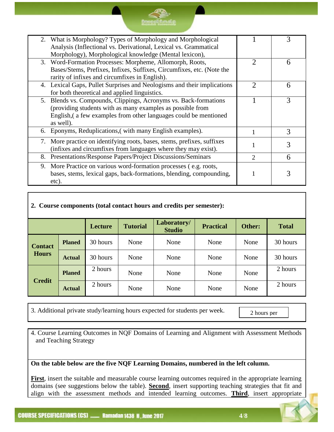|    | 2. What is Morphology? Types of Morphology and Morphological            |                             |   |
|----|-------------------------------------------------------------------------|-----------------------------|---|
|    | Analysis (Inflectional vs. Derivational, Lexical vs. Grammatical        |                             |   |
|    | Morphology), Morphological knowledge (Mental lexicon),                  |                             |   |
|    | 3. Word-Formation Processes: Morpheme, Allomorph, Roots,                | 2                           | 6 |
|    | Bases/Stems, Prefixes, Infixes, Suffixes, Circumfixes, etc. (Note the   |                             |   |
|    | rarity of infixes and circumfixes in English).                          |                             |   |
|    | 4. Lexical Gaps, Pullet Surprises and Neologisms and their implications | $\mathcal{D}_{\mathcal{L}}$ | 6 |
|    | for both theoretical and applied linguistics.                           |                             |   |
|    | 5. Blends vs. Compounds, Clippings, Acronyms vs. Back-formations        |                             | 3 |
|    | (providing students with as many examples as possible from              |                             |   |
|    | English, a few examples from other languages could be mentioned         |                             |   |
|    | as well).                                                               |                             |   |
|    | 6. Eponyms, Reduplications, (with many English examples).               | 1                           | 3 |
| 7. | More practice on identifying roots, bases, stems, prefixes, suffixes    |                             |   |
|    | (infixes and circumfixes from languages where they may exist).          |                             | 3 |
| 8. | Presentations/Response Papers/Project Discussions/Seminars              | $\mathcal{D}_{\mathcal{L}}$ | 6 |
| 9. | More Practice on various word-formation processes (e.g. roots,          |                             |   |
|    | bases, stems, lexical gaps, back-formations, blending, compounding,     |                             |   |
|    | etc).                                                                   |                             |   |
|    |                                                                         |                             |   |

\$P **Compell Condition** 

#### **2. Course components (total contact hours and credits per semester):**

|                |               | Lecture  | <b>Tutorial</b> | Laboratory/<br><b>Studio</b> | <b>Practical</b> | Other: | <b>Total</b> |
|----------------|---------------|----------|-----------------|------------------------------|------------------|--------|--------------|
| <b>Contact</b> | <b>Planed</b> | 30 hours | None            | None                         | None             | None   | 30 hours     |
| <b>Hours</b>   | <b>Actual</b> | 30 hours | None            | None                         | None             | None   | 30 hours     |
|                | <b>Planed</b> | 2 hours  | None            | None                         | None             | None   | 2 hours      |
| <b>Credit</b>  | <b>Actual</b> | 2 hours  | None            | None                         | None             | None   | 2 hours      |

3. Additional private study/learning hours expected for students per week.

2 hours per week<br>week

4. Course Learning Outcomes in NQF Domains of Learning and Alignment with Assessment Methods and Teaching Strategy

**On the table below are the five NQF Learning Domains, numbered in the left column.** 

**First**, insert the suitable and measurable course learning outcomes required in the appropriate learning domains (see suggestions below the table). **Second**, insert supporting teaching strategies that fit and align with the assessment methods and intended learning outcomes. **Third**, insert appropriate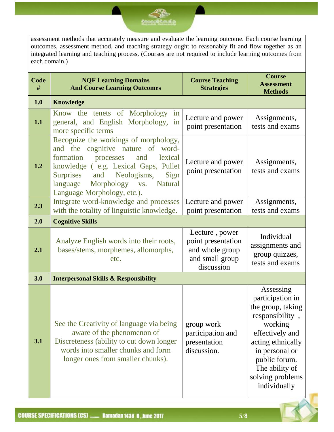#### assessment methods that accurately measure and evaluate the learning outcome. Each course learning outcomes, assessment method, and teaching strategy ought to reasonably fit and flow together as an integrated learning and teaching process. (Courses are not required to include learning outcomes from each domain.)

<u>குறையில் தமி</u>

| Code<br># | <b>NQF Learning Domains</b><br><b>And Course Learning Outcomes</b>                                                                                                                                                                                                          | <b>Course Teaching</b><br><b>Strategies</b>                                              | <b>Course</b><br><b>Assessment</b><br><b>Methods</b>                                                                                                                                                              |
|-----------|-----------------------------------------------------------------------------------------------------------------------------------------------------------------------------------------------------------------------------------------------------------------------------|------------------------------------------------------------------------------------------|-------------------------------------------------------------------------------------------------------------------------------------------------------------------------------------------------------------------|
| 1.0       | <b>Knowledge</b>                                                                                                                                                                                                                                                            |                                                                                          |                                                                                                                                                                                                                   |
| 1.1       | Know the tenets of Morphology<br>in<br>general, and English Morphology,<br>in<br>more specific terms                                                                                                                                                                        | Lecture and power<br>point presentation                                                  | Assignments,<br>tests and exams                                                                                                                                                                                   |
| 1.2       | Recognize the workings of morphology,<br>and the cognitive nature of word-<br>formation<br>lexical<br>and<br>processes<br>knowledge (e.g. Lexical Gaps, Pullet<br>Surprises and Neologisms,<br>Sign<br>language<br>Morphology vs.<br>Natural<br>Language Morphology, etc.). | Lecture and power<br>point presentation                                                  | Assignments,<br>tests and exams                                                                                                                                                                                   |
| 2.3       | Integrate word-knowledge and processes<br>with the totality of linguistic knowledge.                                                                                                                                                                                        | Lecture and power<br>point presentation                                                  | Assignments,<br>tests and exams                                                                                                                                                                                   |
| 2.0       | <b>Cognitive Skills</b>                                                                                                                                                                                                                                                     |                                                                                          |                                                                                                                                                                                                                   |
| 2.1       | Analyze English words into their roots,<br>bases/stems, morphemes, allomorphs,<br>etc.                                                                                                                                                                                      | Lecture, power<br>point presentation<br>and whole group<br>and small group<br>discussion | Individual<br>assignments and<br>group quizzes,<br>tests and exams                                                                                                                                                |
| 3.0       | <b>Interpersonal Skills &amp; Responsibility</b>                                                                                                                                                                                                                            |                                                                                          |                                                                                                                                                                                                                   |
| 3.1       | See the Creativity of language via being<br>aware of the phenomenon of<br>Discreteness (ability to cut down longer<br>words into smaller chunks and form<br>longer ones from smaller chunks).                                                                               | group work<br>participation and<br>presentation<br>discussion.                           | Assessing<br>participation in<br>the group, taking<br>responsibility,<br>working<br>effectively and<br>acting ethnically<br>in personal or<br>public forum.<br>The ability of<br>solving problems<br>individually |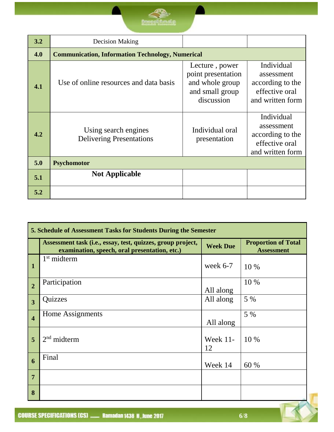| 3.2 | Decision Making                                         |                                                                                          |                                                                                    |  |  |
|-----|---------------------------------------------------------|------------------------------------------------------------------------------------------|------------------------------------------------------------------------------------|--|--|
|     |                                                         |                                                                                          |                                                                                    |  |  |
| 4.0 | <b>Communication, Information Technology, Numerical</b> |                                                                                          |                                                                                    |  |  |
| 4.1 | Use of online resources and data basis                  | Lecture, power<br>point presentation<br>and whole group<br>and small group<br>discussion | Individual<br>assessment<br>according to the<br>effective oral<br>and written form |  |  |
| 4.2 | Using search engines<br><b>Delivering Presentations</b> | Individual oral<br>presentation                                                          | Individual<br>assessment<br>according to the<br>effective oral<br>and written form |  |  |
| 5.0 | <b>Psychomotor</b>                                      |                                                                                          |                                                                                    |  |  |
| 5.1 | <b>Not Applicable</b>                                   |                                                                                          |                                                                                    |  |  |
| 5.2 |                                                         |                                                                                          |                                                                                    |  |  |

| 5. Schedule of Assessment Tasks for Students During the Semester |                                                                                                              |                   |                                                 |  |
|------------------------------------------------------------------|--------------------------------------------------------------------------------------------------------------|-------------------|-------------------------------------------------|--|
|                                                                  | Assessment task (i.e., essay, test, quizzes, group project,<br>examination, speech, oral presentation, etc.) | <b>Week Due</b>   | <b>Proportion of Total</b><br><b>Assessment</b> |  |
| $\mathbf{1}$                                                     | 1 <sup>st</sup> midterm                                                                                      | week $6-7$        | 10 %                                            |  |
| $\overline{2}$                                                   | Participation                                                                                                | All along         | 10 %                                            |  |
| $\overline{3}$                                                   | Quizzes                                                                                                      | All along         | 5 %                                             |  |
| $\overline{\mathbf{4}}$                                          | Home Assignments                                                                                             | All along         | 5 %                                             |  |
| 5                                                                | $2nd$ midterm                                                                                                | Week $11$ -<br>12 | 10 %                                            |  |
| 6                                                                | Final                                                                                                        | Week 14           | 60 %                                            |  |
| $\overline{7}$                                                   |                                                                                                              |                   |                                                 |  |
| 8                                                                |                                                                                                              |                   |                                                 |  |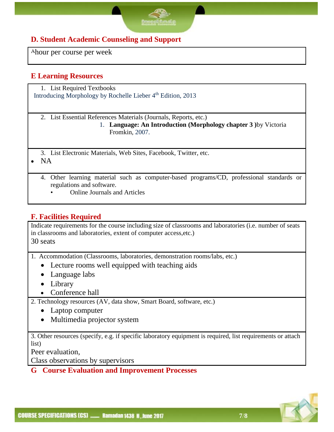#### **D. Student Academic Counseling and Support**

Ahour per course per week

#### **E Learning Resources**

1. List Required Textbooks Introducing Morphology by Rochelle Lieber 4<sup>th</sup> Edition, 2013

2. List Essential References Materials (Journals, Reports, etc.)

- 1. **Language: An Introduction (Morphology chapter 3 )**by Victoria Fromkin, 2007.
- 3. List Electronic Materials, Web Sites, Facebook, Twitter, etc.

 $\bullet$  NA

- 4. Other learning material such as computer-based programs/CD, professional standards or regulations and software.
	- Online Journals and Articles

#### **F. Facilities Required**

Indicate requirements for the course including size of classrooms and laboratories (i.e. number of seats in classrooms and laboratories, extent of computer access,etc.) 30 seats

- 1. Accommodation (Classrooms, laboratories, demonstration rooms/labs, etc.)
	- Lecture rooms well equipped with teaching aids
	- Language labs
	- Library
	- Conference hall
- 2. Technology resources (AV, data show, Smart Board, software, etc.)
	- Laptop computer
	- Multimedia projector system

3. Other resources (specify, e.g. if specific laboratory equipment is required, list requirements or attach list)

Peer evaluation,

Class observations by supervisors

#### **G Course Evaluation and Improvement Processes**